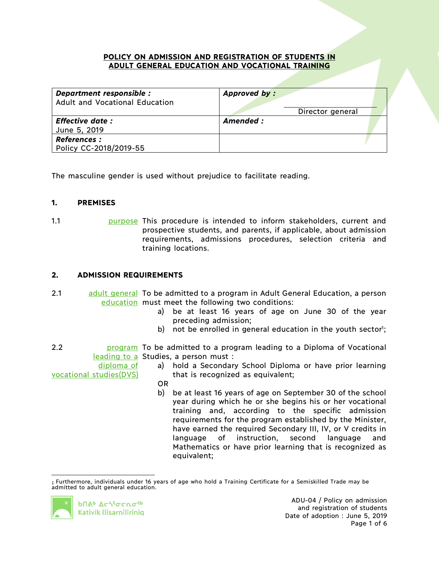#### **POLICY ON ADMISSION AND REGISTRATION OF STUDENTS IN ADULT GENERAL EDUCATION AND VOCATIONAL TRAINING**

| Department responsible :<br><b>Adult and Vocational Education</b> | Approved by:                  |  |
|-------------------------------------------------------------------|-------------------------------|--|
| <b>Effective date :</b><br>June 5, 2019                           | Director general<br>Amended : |  |
| <b>References:</b><br>Policy CC-2018/2019-55                      |                               |  |

The masculine gender is used without prejudice to facilitate reading.

## **1. PREMISES**

1.1 **1.1 purpose** This procedure is intended to inform stakeholders, current and prospective students, and parents, if applicable, about admission requirements, admissions procedures, selection criteria and training locations.

## **2. ADMISSION REQUIREMENTS**

- 2.1 adult general To be admitted to a program in Adult General Education, a person education must meet the following two conditions:
	- a) be at least 16 years of age on June 30 of the year preceding admission;
	- b) not be enrolled in general education in the youth sector<sup>1</sup>;

2.2 **blue program** To be admitted to a program leading to a Diploma of Vocational leading to a Studies, a person must :

diploma of vocational studies(DVS)

- a) hold a Secondary School Diploma or have prior learning that is recognized as equivalent;
- OR
- b) be at least 16 years of age on September 30 of the school year during which he or she begins his or her vocational training and, according to the specific admission requirements for the program established by the Minister, have earned the required Secondary III, IV, or V credits in language of instruction, second language and Mathematics or have prior learning that is recognized as equivalent;

 <sup>1</sup> Furthermore, individuals under 16 years of age who hold a Training Certificate for a Semiskilled Trade may be admitted to adult general education.

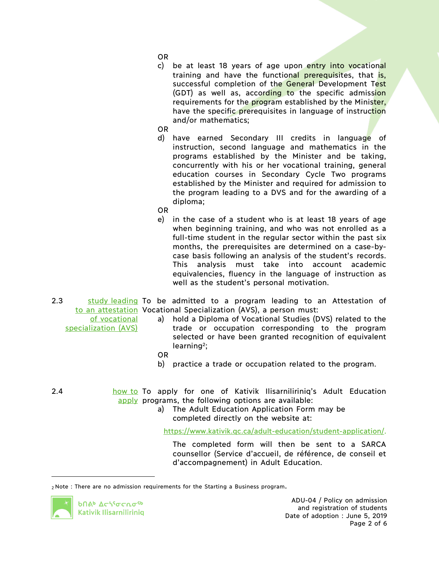- OR
- c) be at least 18 years of age upon entry into vocational training and have the functional prerequisites, that is, successful completion of the General Development Test (GDT) as well as, according to the specific admission requirements for the program established by the Minister, have the specific prerequisites in language of instruction and/or mathematics;

OR

- d) have earned Secondary III credits in language of instruction, second language and mathematics in the programs established by the Minister and be taking, concurrently with his or her vocational training, general education courses in Secondary Cycle Two programs established by the Minister and required for admission to the program leading to a DVS and for the awarding of a diploma;
- OR
- e) in the case of a student who is at least 18 years of age when beginning training, and who was not enrolled as a full-time student in the regular sector within the past six months, the prerequisites are determined on a case-bycase basis following an analysis of the student's records. This analysis must take into account academic equivalencies, fluency in the language of instruction as well as the student's personal motivation.
- 2.3 study leading To be admitted to a program leading to an Attestation of to an attestation Vocational Specialization (AVS), a person must:
	- of vocational specialization (AVS)
- a) hold a Diploma of Vocational Studies (DVS) related to the trade or occupation corresponding to the program selected or have been granted recognition of equivalent learning<sup>2</sup>;
- OR
- b) practice a trade or occupation related to the program.
- 2.4 **how to To apply for one of Kativik Ilisarniliriniq's Adult Education** apply programs, the following options are available:
	- a) The Adult Education Application Form may be completed directly on the website at:

https://www.kativik.qc.ca/adult-education/student-application/.

The completed form will then be sent to a SARCA counsellor (Service d'accueil, de référence, de conseil et d'accompagnement) in Adult Education.



 $\overline{a}$ 

<sup>2</sup> Note : There are no admission requirements for the Starting a Business program.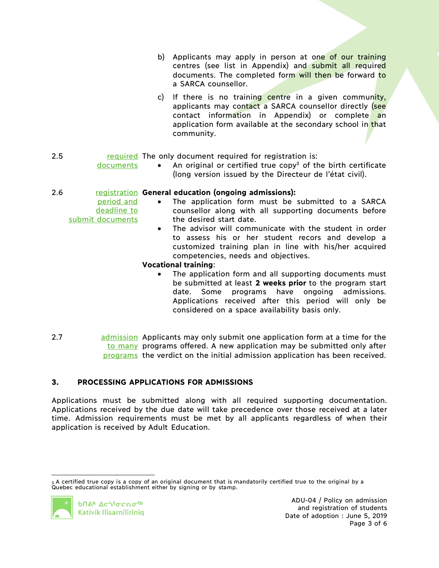- b) Applicants may apply in person at one of our training centres (see list in Appendix) and submit all required documents. The completed form will then be forward to a SARCA counsellor.
- c) If there is no training centre in a given community, applicants may contact a SARCA counsellor directly (see contact information in Appendix) or complete an application form available at the secondary school in that community.

# 2.5 **required** The only document required for registration is:

• An original or certified true copy<sup>3</sup> of the birth certificate (long version issued by the Directeur de l'état civil).

## 2.6 registration **General education (ongoing admissions):**

- The application form must be submitted to a SARCA counsellor along with all supporting documents before the desired start date.
	- The advisor will communicate with the student in order to assess his or her student recors and develop a customized training plan in line with his/her acquired competencies, needs and objectives.

### **Vocational training**:

- The application form and all supporting documents must be submitted at least **2 weeks prior** to the program start date. Some programs have ongoing admissions. Applications received after this period will only be considered on a space availability basis only.
- 2.7 admission Applicants may only submit one application form at a time for the to many programs offered. A new application may be submitted only after programs the verdict on the initial admission application has been received.

# **3. PROCESSING APPLICATIONS FOR ADMISSIONS**

Applications must be submitted along with all required supporting documentation. Applications received by the due date will take precedence over those received at a later time. Admission requirements must be met by all applicants regardless of when their application is received by Adult Education.

 <sup>3</sup> A certified true copy is a copy of an original document that is mandatorily certified true to the original by a Quebec educational establishment either by signing or by stamp.



documents

period and deadline to

submit documents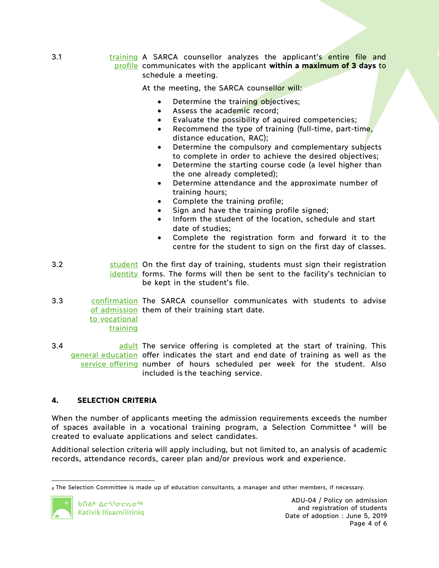3.1 **training A SARCA counsellor analyzes the applicant's entire file and** profile communicates with the applicant **within a maximum of 3 days** to schedule a meeting.

At the meeting, the SARCA counsellor will:

- Determine the training objectives;
- Assess the academic record;
- Evaluate the possibility of aquired competencies;
- Recommend the type of training (full-time, part-time, distance education, RAC);
- Determine the compulsory and complementary subjects to complete in order to achieve the desired objectives;
- Determine the starting course code (a level higher than the one already completed);
- Determine attendance and the approximate number of training hours;
- Complete the training profile;
- Sign and have the training profile signed:
- Inform the student of the location, schedule and start date of studies;
- Complete the registration form and forward it to the centre for the student to sign on the first day of classes.
- 3.2 **Source Student On the first day of training, students must sign their registration** identity forms. The forms will then be sent to the facility's technician to be kept in the student's file.
- 3.3 confirmation The SARCA counsellor communicates with students to advise of admission them of their training start date. to vocational training
- 3.4 **and a service** offering is completed at the start of training. This general education offer indicates the start and end date of training as well as the service offering number of hours scheduled per week for the student. Also included is the teaching service.

## **4. SELECTION CRITERIA**

When the number of applicants meeting the admission requirements exceeds the number of spaces available in a vocational training program, a Selection Committee <sup>4</sup> will be created to evaluate applications and select candidates.

Additional selection criteria will apply including, but not limited to, an analysis of academic records, attendance records, career plan and/or previous work and experience.

 <sup>4</sup> The Selection Committee is made up of education consultants, a manager and other members, if necessary.

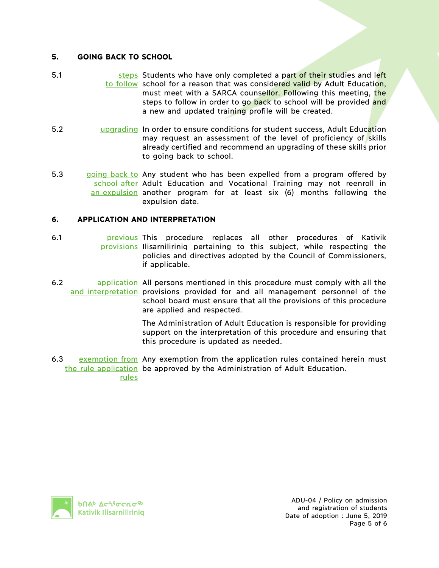## **5. GOING BACK TO SCHOOL**

- 5.1 steps Students who have only completed a part of their studies and left to follow school for a reason that was considered valid by Adult Education, must meet with a SARCA counsellor. Following this meeting, the steps to follow in order to go back to school will be provided and a new and updated training profile will be created.
- 5.2 **upgrading In order to ensure conditions for student success, Adult Education** may request an assessment of the level of proficiency of skills already certified and recommend an upgrading of these skills prior to going back to school.
- 5.3 going back to Any student who has been expelled from a program offered by school after Adult Education and Vocational Training may not reenroll in an expulsion another program for at least six (6) months following the expulsion date.

## **6. APPLICATION AND INTERPRETATION**

- 6.1 **business** procedure replaces all other procedures of Kativik provisions Ilisarniliriniq pertaining to this subject, while respecting the policies and directives adopted by the Council of Commissioners, if applicable.
- 6.2 **application** All persons mentioned in this procedure must comply with all the and interpretation provisions provided for and all management personnel of the school board must ensure that all the provisions of this procedure are applied and respected.

The Administration of Adult Education is responsible for providing support on the interpretation of this procedure and ensuring that this procedure is updated as needed.

6.3 exemption from Any exemption from the application rules contained herein must the rule application be approved by the Administration of Adult Education. rules